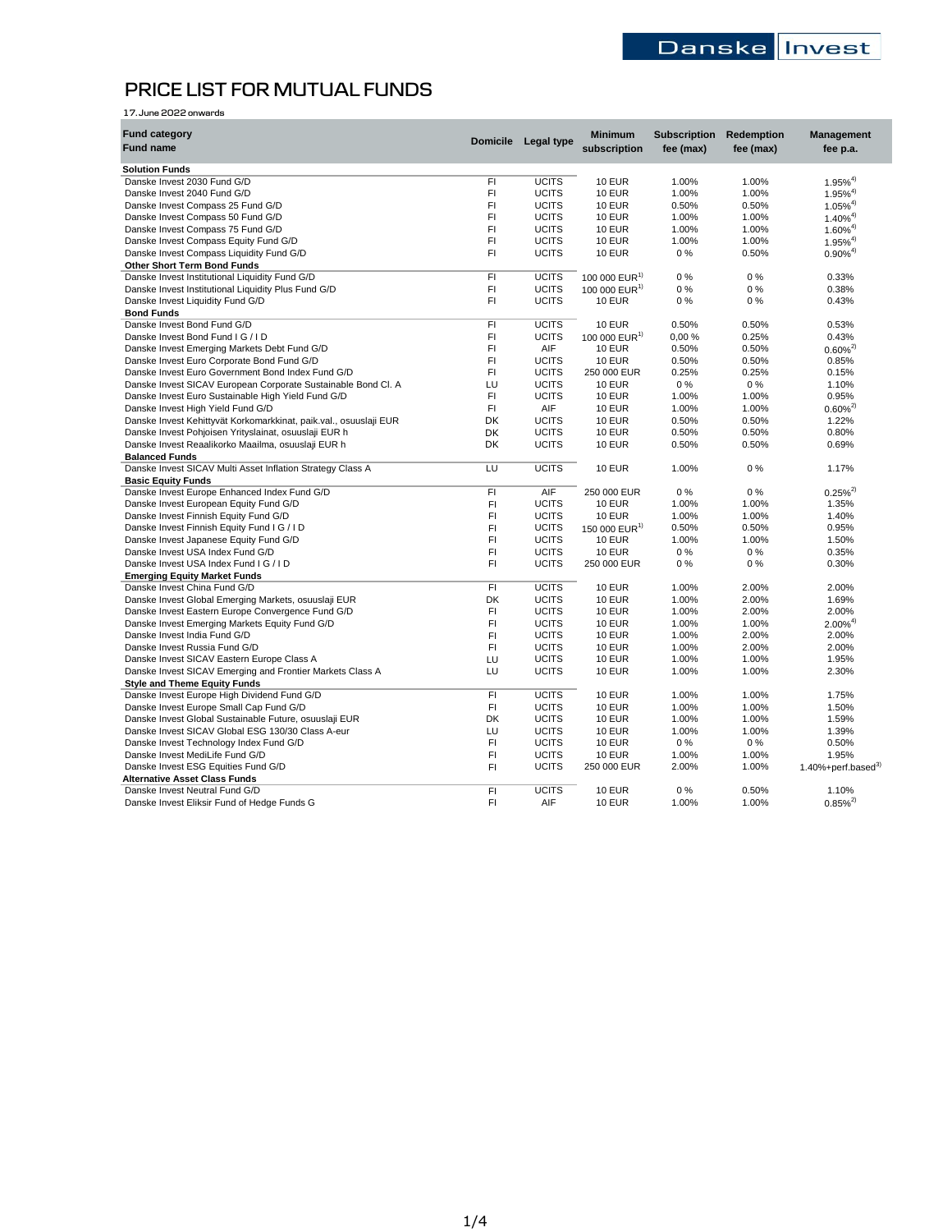# **PRICE LIST FOR MUTUAL FUNDS**

| 17. June 2022 onwards                                             |                 |                   |                           |                     |            |                          |
|-------------------------------------------------------------------|-----------------|-------------------|---------------------------|---------------------|------------|--------------------------|
| <b>Fund category</b>                                              |                 |                   | <b>Minimum</b>            | <b>Subscription</b> | Redemption | Management               |
| <b>Fund name</b>                                                  | <b>Domicile</b> | <b>Legal type</b> | subscription              | fee (max)           | fee (max)  | fee p.a.                 |
|                                                                   |                 |                   |                           |                     |            |                          |
| <b>Solution Funds</b><br>Danske Invest 2030 Fund G/D              | F1              | <b>UCITS</b>      | <b>10 EUR</b>             | 1.00%               | 1.00%      | $1.95\%^{4}$             |
| Danske Invest 2040 Fund G/D                                       | FI              | <b>UCITS</b>      | <b>10 EUR</b>             | 1.00%               | 1.00%      | $1.95\%^{4}$             |
| Danske Invest Compass 25 Fund G/D                                 | FI              | <b>UCITS</b>      | <b>10 EUR</b>             | 0.50%               | 0.50%      | $1.05\%^{4}$             |
| Danske Invest Compass 50 Fund G/D                                 | F1              | <b>UCITS</b>      | <b>10 EUR</b>             | 1.00%               | 1.00%      | $1.40\%^{4}$             |
| Danske Invest Compass 75 Fund G/D                                 | FI              | <b>UCITS</b>      | <b>10 EUR</b>             | 1.00%               | 1.00%      | $1.60\%^{4}$             |
| Danske Invest Compass Equity Fund G/D                             | F1              | <b>UCITS</b>      | <b>10 EUR</b>             | 1.00%               | 1.00%      | $1.95\%^{4}$             |
| Danske Invest Compass Liquidity Fund G/D                          | FI              | <b>UCITS</b>      | <b>10 EUR</b>             | $0\%$               | 0.50%      | $0.90\%^{4}$             |
| <b>Other Short Term Bond Funds</b>                                |                 |                   |                           |                     |            |                          |
| Danske Invest Institutional Liquidity Fund G/D                    | F1              | <b>UCITS</b>      | 100 000 EUR <sup>1)</sup> | $0\%$               | 0%         | 0.33%                    |
| Danske Invest Institutional Liquidity Plus Fund G/D               | FI.             | <b>UCITS</b>      | 100 000 $EUR1$            | $0\%$               | 0%         | 0.38%                    |
| Danske Invest Liquidity Fund G/D                                  | FI.             | <b>UCITS</b>      | <b>10 EUR</b>             | 0%                  | 0%         | 0.43%                    |
| <b>Bond Funds</b>                                                 |                 |                   |                           |                     |            |                          |
| Danske Invest Bond Fund G/D                                       | FI.             | <b>UCITS</b>      | <b>10 EUR</b>             | 0.50%               | 0.50%      | 0.53%                    |
| Danske Invest Bond Fund I G / I D                                 | FI              | UCITS             | 100 000 EUR <sup>1)</sup> | 0,00%               | 0.25%      | 0.43%                    |
| Danske Invest Emerging Markets Debt Fund G/D                      | F1              | AIF               | <b>10 EUR</b>             | 0.50%               | 0.50%      | $0.60\%^{2}$             |
| Danske Invest Euro Corporate Bond Fund G/D                        | F1              | <b>UCITS</b>      | <b>10 EUR</b>             | 0.50%               | 0.50%      | 0.85%                    |
| Danske Invest Euro Government Bond Index Fund G/D                 | F1              | <b>UCITS</b>      | 250 000 EUR               | 0.25%               | 0.25%      | 0.15%                    |
| Danske Invest SICAV European Corporate Sustainable Bond Cl. A     | LU              | <b>UCITS</b>      | <b>10 EUR</b>             | $0\%$               | $0\%$      | 1.10%                    |
| Danske Invest Euro Sustainable High Yield Fund G/D                | F1              | <b>UCITS</b>      | <b>10 EUR</b>             | 1.00%               | 1.00%      | 0.95%                    |
| Danske Invest High Yield Fund G/D                                 | F1              | AIF               | <b>10 EUR</b>             | 1.00%               | 1.00%      | $0.60\%^{2}$             |
| Danske Invest Kehittyvät Korkomarkkinat, paik.val., osuuslaji EUR | DK              | <b>UCITS</b>      | <b>10 EUR</b>             | 0.50%               | 0.50%      | 1.22%                    |
| Danske Invest Pohjoisen Yrityslainat, osuuslaji EUR h             | DK              | <b>UCITS</b>      | <b>10 EUR</b>             | 0.50%               | 0.50%      | 0.80%                    |
| Danske Invest Reaalikorko Maailma, osuuslaji EUR h                | <b>DK</b>       | <b>UCITS</b>      | <b>10 EUR</b>             | 0.50%               | 0.50%      | 0.69%                    |
| <b>Balanced Funds</b>                                             |                 |                   |                           |                     |            |                          |
| Danske Invest SICAV Multi Asset Inflation Strategy Class A        | LU              | <b>UCITS</b>      | <b>10 EUR</b>             | 1.00%               | $0\%$      | 1.17%                    |
| <b>Basic Equity Funds</b>                                         |                 |                   |                           |                     |            |                          |
| Danske Invest Europe Enhanced Index Fund G/D                      | F1              | AIF               | 250 000 EUR               | $0\%$               | 0%         | $0.25\%^{2}$             |
| Danske Invest European Equity Fund G/D                            | FI              | <b>UCITS</b>      | <b>10 EUR</b>             | 1.00%               | 1.00%      | 1.35%                    |
| Danske Invest Finnish Equity Fund G/D                             | FI              | <b>UCITS</b>      | <b>10 EUR</b>             | 1.00%               | 1.00%      | 1.40%                    |
| Danske Invest Finnish Equity Fund I G / I D                       | F1              | <b>UCITS</b>      | 150 000 EUR <sup>1)</sup> | 0.50%               | 0.50%      | 0.95%                    |
| Danske Invest Japanese Equity Fund G/D                            | FI              | <b>UCITS</b>      | <b>10 EUR</b>             | 1.00%               | 1.00%      | 1.50%                    |
| Danske Invest USA Index Fund G/D                                  | FI              | <b>UCITS</b>      | <b>10 EUR</b>             | $0\%$               | 0%         | 0.35%                    |
| Danske Invest USA Index Fund I G / I D                            | FI              | <b>UCITS</b>      | 250 000 EUR               | 0%                  | 0%         | 0.30%                    |
| <b>Emerging Equity Market Funds</b>                               |                 |                   |                           |                     |            |                          |
| Danske Invest China Fund G/D                                      | FI.             | <b>UCITS</b>      | <b>10 EUR</b>             | 1.00%               | 2.00%      | 2.00%                    |
| Danske Invest Global Emerging Markets, osuuslaji EUR              | DK              | <b>UCITS</b>      | <b>10 EUR</b>             | 1.00%               | 2.00%      | 1.69%                    |
| Danske Invest Eastern Europe Convergence Fund G/D                 | F1              | <b>UCITS</b>      | <b>10 EUR</b>             | 1.00%               | 2.00%      | 2.00%                    |
| Danske Invest Emerging Markets Equity Fund G/D                    | FI.             | <b>UCITS</b>      | <b>10 EUR</b>             | 1.00%               | 1.00%      | $2.00\%^{4}$             |
| Danske Invest India Fund G/D                                      | FI              | <b>UCITS</b>      | <b>10 EUR</b>             | 1.00%               | 2.00%      | 2.00%                    |
| Danske Invest Russia Fund G/D                                     | F1              | <b>UCITS</b>      | <b>10 EUR</b>             | 1.00%               | 2.00%      | 2.00%                    |
| Danske Invest SICAV Eastern Europe Class A                        | LU              | <b>UCITS</b>      | <b>10 EUR</b>             | 1.00%               | 1.00%      | 1.95%                    |
| Danske Invest SICAV Emerging and Frontier Markets Class A         | LU              | <b>UCITS</b>      | <b>10 EUR</b>             | 1.00%               | 1.00%      | 2.30%                    |
| <b>Style and Theme Equity Funds</b>                               |                 |                   |                           |                     |            |                          |
| Danske Invest Europe High Dividend Fund G/D                       | F1              | <b>UCITS</b>      | <b>10 EUR</b>             | 1.00%               | 1.00%      | 1.75%                    |
| Danske Invest Europe Small Cap Fund G/D                           | FI              | <b>UCITS</b>      | <b>10 EUR</b>             | 1.00%               | 1.00%      | 1.50%                    |
| Danske Invest Global Sustainable Future, osuuslaji EUR            | DK              | <b>UCITS</b>      | <b>10 EUR</b>             | 1.00%               | 1.00%      | 1.59%                    |
| Danske Invest SICAV Global ESG 130/30 Class A-eur                 | LU              | <b>UCITS</b>      | <b>10 EUR</b>             | 1.00%               | 1.00%      | 1.39%                    |
| Danske Invest Technology Index Fund G/D                           | FI              | <b>UCITS</b>      | <b>10 EUR</b>             | $0\%$               | $0\%$      | 0.50%                    |
| Danske Invest MediLife Fund G/D                                   | FI              | <b>UCITS</b>      | <b>10 EUR</b>             | 1.00%               | 1.00%      | 1.95%                    |
| Danske Invest ESG Equities Fund G/D                               | FI.             | <b>UCITS</b>      | 250 000 EUR               | 2.00%               | 1.00%      |                          |
| <b>Alternative Asset Class Funds</b>                              |                 |                   |                           |                     |            | 1.40%+perf.based $^{3)}$ |
| Danske Invest Neutral Fund G/D                                    | F1              | <b>UCITS</b>      | <b>10 EUR</b>             | 0%                  | 0.50%      | 1.10%                    |
| Danske Invest Eliksir Fund of Hedge Funds G                       | FI              | AIF               | <b>10 EUR</b>             | 1.00%               | 1.00%      | $0.85\%^{2}$             |
|                                                                   |                 |                   |                           |                     |            |                          |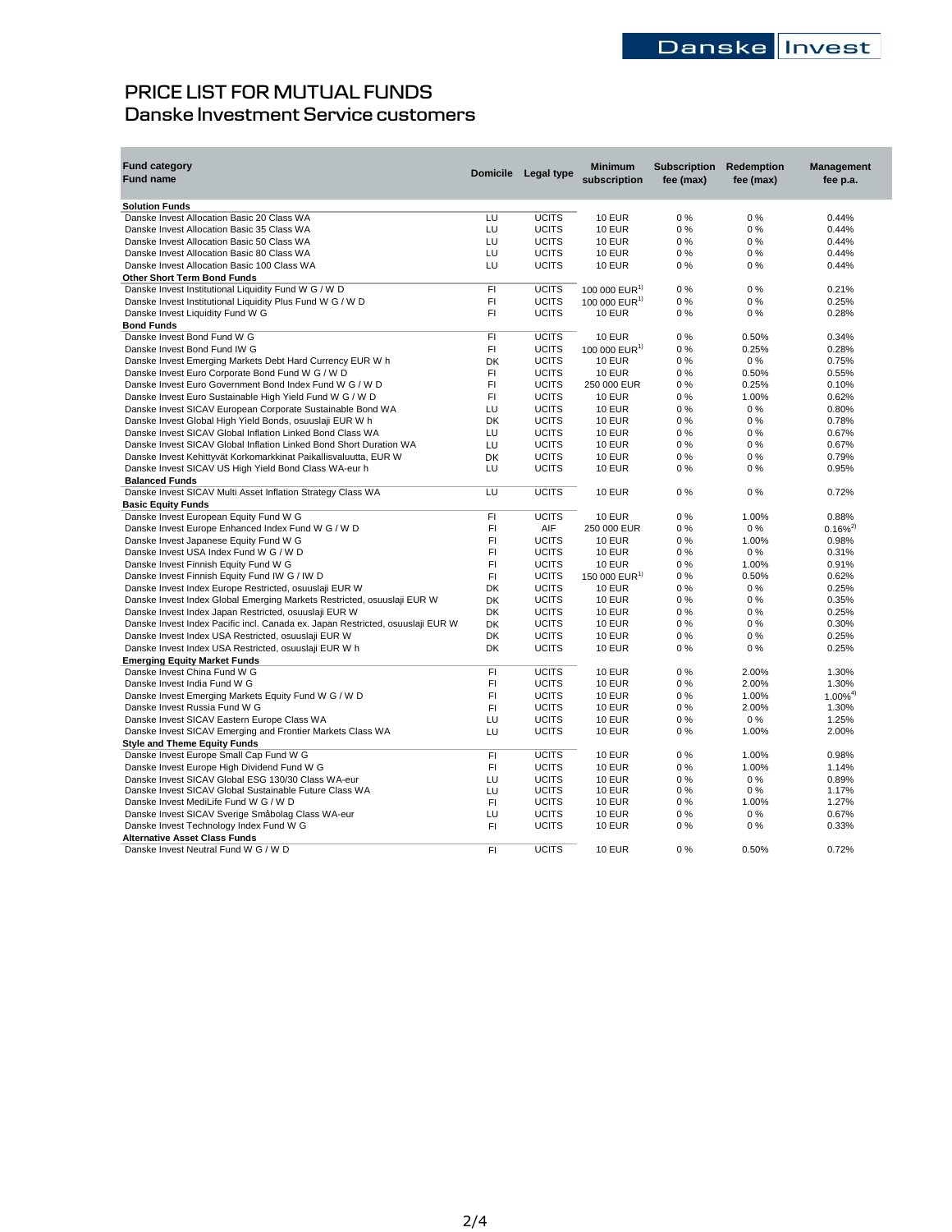# **PRICE LIST FOR MUTUAL FUNDS Danske Investment Service customers**

| <b>Fund category</b>                                                           | <b>Domicile</b> | Legal type   | <b>Minimum</b>            | <b>Subscription</b> | <b>Redemption</b> | <b>Management</b> |
|--------------------------------------------------------------------------------|-----------------|--------------|---------------------------|---------------------|-------------------|-------------------|
| <b>Fund name</b>                                                               |                 |              | subscription              | fee (max)           | fee (max)         | fee p.a.          |
| <b>Solution Funds</b>                                                          |                 |              |                           |                     |                   |                   |
| Danske Invest Allocation Basic 20 Class WA                                     | LU              | <b>UCITS</b> | <b>10 EUR</b>             | $0\%$               | 0%                | 0.44%             |
| Danske Invest Allocation Basic 35 Class WA                                     | LU              | <b>UCITS</b> | <b>10 EUR</b>             | 0%                  | 0%                | 0.44%             |
| Danske Invest Allocation Basic 50 Class WA                                     | LU              | <b>UCITS</b> | <b>10 EUR</b>             | 0%                  | 0%                | 0.44%             |
| Danske Invest Allocation Basic 80 Class WA                                     | LU              | <b>UCITS</b> | <b>10 EUR</b>             | 0%                  | 0%                | 0.44%             |
| Danske Invest Allocation Basic 100 Class WA                                    | LU              | <b>UCITS</b> | <b>10 EUR</b>             | 0%                  | 0%                | 0.44%             |
| Other Short Term Bond Funds                                                    |                 |              |                           |                     |                   |                   |
| Danske Invest Institutional Liquidity Fund W G / W D                           | FI              | <b>UCITS</b> | 100 000 EUR <sup>1)</sup> | 0%                  | 0%                | 0.21%             |
| Danske Invest Institutional Liquidity Plus Fund W G / W D                      | FI              | <b>UCITS</b> | 100 000 $EUR1$            | 0%                  | 0%                | 0.25%             |
| Danske Invest Liquidity Fund W G                                               | FI              | <b>UCITS</b> | <b>10 EUR</b>             | $0\%$               | 0%                | 0.28%             |
| <b>Bond Funds</b>                                                              |                 |              |                           |                     |                   |                   |
| Danske Invest Bond Fund W G                                                    | FI              | <b>UCITS</b> | <b>10 EUR</b>             | 0%                  | 0.50%             | 0.34%             |
| Danske Invest Bond Fund IW G                                                   | FI              | <b>UCITS</b> | 100 000 EUR <sup>1)</sup> | $0\%$               | 0.25%             | 0.28%             |
| Danske Invest Emerging Markets Debt Hard Currency EUR W h                      | DK              | <b>UCITS</b> | <b>10 EUR</b>             | $0\%$               | $0\%$             | 0.75%             |
|                                                                                | FI              | <b>UCITS</b> | <b>10 EUR</b>             | $0\%$               | 0.50%             | 0.55%             |
| Danske Invest Euro Corporate Bond Fund W G / W D                               | FI              | <b>UCITS</b> |                           |                     |                   |                   |
| Danske Invest Euro Government Bond Index Fund W G / W D                        |                 |              | 250 000 EUR               | 0%                  | 0.25%             | 0.10%             |
| Danske Invest Euro Sustainable High Yield Fund W G / W D                       | FI              | <b>UCITS</b> | <b>10 EUR</b>             | 0%                  | 1.00%             | 0.62%             |
| Danske Invest SICAV European Corporate Sustainable Bond WA                     | LU              | <b>UCITS</b> | <b>10 EUR</b>             | 0%                  | $0\%$             | 0.80%             |
| Danske Invest Global High Yield Bonds, osuuslaji EUR W h                       | <b>DK</b>       | <b>UCITS</b> | <b>10 EUR</b>             | $0\%$               | $0\%$             | 0.78%             |
| Danske Invest SICAV Global Inflation Linked Bond Class WA                      | LU              | <b>UCITS</b> | <b>10 EUR</b>             | $0\%$               | 0%                | 0.67%             |
| Danske Invest SICAV Global Inflation Linked Bond Short Duration WA             | LU              | <b>UCITS</b> | <b>10 EUR</b>             | 0%                  | 0%                | 0.67%             |
| Danske Invest Kehittyvät Korkomarkkinat Paikallisvaluutta, EUR W               | <b>DK</b>       | <b>UCITS</b> | <b>10 EUR</b>             | 0%                  | 0%                | 0.79%             |
| Danske Invest SICAV US High Yield Bond Class WA-eur h                          | LU              | <b>UCITS</b> | <b>10 EUR</b>             | 0%                  | 0%                | 0.95%             |
| <b>Balanced Funds</b>                                                          |                 |              |                           |                     |                   |                   |
| Danske Invest SICAV Multi Asset Inflation Strategy Class WA                    | LU              | <b>UCITS</b> | <b>10 EUR</b>             | 0%                  | 0%                | 0.72%             |
| <b>Basic Equity Funds</b>                                                      |                 |              |                           |                     |                   |                   |
| Danske Invest European Equity Fund W G                                         | F1              | <b>UCITS</b> | <b>10 EUR</b>             | 0%                  | 1.00%             | 0.88%             |
| Danske Invest Europe Enhanced Index Fund W G / W D                             | FI              | AIF          | 250 000 EUR               | 0%                  | $0\%$             | $0.16\%^{2}$      |
| Danske Invest Japanese Equity Fund W G                                         | FI              | <b>UCITS</b> | <b>10 EUR</b>             | $0\%$               | 1.00%             | 0.98%             |
| Danske Invest USA Index Fund W G / W D                                         | FI              | <b>UCITS</b> | <b>10 EUR</b>             | 0%                  | $0\%$             | 0.31%             |
| Danske Invest Finnish Equity Fund W G                                          | FI              | <b>UCITS</b> | <b>10 EUR</b>             | 0%                  | 1.00%             | 0.91%             |
| Danske Invest Finnish Equity Fund IW G / IW D                                  | FI              | <b>UCITS</b> | 150 000 EUR <sup>1)</sup> | 0%                  | 0.50%             | 0.62%             |
| Danske Invest Index Europe Restricted, osuuslaji EUR W                         | DK              | <b>UCITS</b> | <b>10 EUR</b>             | 0%                  | 0%                | 0.25%             |
| Danske Invest Index Global Emerging Markets Restricted, osuuslaji EUR W        | <b>DK</b>       | <b>UCITS</b> | <b>10 EUR</b>             | 0%                  | 0%                | 0.35%             |
| Danske Invest Index Japan Restricted, osuuslaji EUR W                          | <b>DK</b>       | <b>UCITS</b> | <b>10 EUR</b>             | 0%                  | 0%                | 0.25%             |
| Danske Invest Index Pacific incl. Canada ex. Japan Restricted, osuuslaji EUR W | DK              | <b>UCITS</b> | <b>10 EUR</b>             | 0%                  | 0%                | 0.30%             |
| Danske Invest Index USA Restricted, osuuslaji EUR W                            | DK              | <b>UCITS</b> | <b>10 EUR</b>             | 0%                  | 0%                | 0.25%             |
| Danske Invest Index USA Restricted, osuuslaji EUR W h                          | DK              | <b>UCITS</b> | <b>10 EUR</b>             | 0%                  | 0%                | 0.25%             |
| <b>Emerging Equity Market Funds</b>                                            |                 |              |                           |                     |                   |                   |
| Danske Invest China Fund W G                                                   | FI              | <b>UCITS</b> | <b>10 EUR</b>             | 0%                  | 2.00%             | 1.30%             |
|                                                                                | FI              | <b>UCITS</b> | <b>10 EUR</b>             | 0%                  | 2.00%             | 1.30%             |
| Danske Invest India Fund W G                                                   | FI              |              |                           |                     |                   |                   |
| Danske Invest Emerging Markets Equity Fund W G / W D                           |                 | <b>UCITS</b> | <b>10 EUR</b>             | $0\%$               | 1.00%             | $1.00\%^{4}$      |
| Danske Invest Russia Fund W G                                                  | FI              | <b>UCITS</b> | <b>10 EUR</b>             | $0\%$               | 2.00%             | 1.30%             |
| Danske Invest SICAV Eastern Europe Class WA                                    | LU              | <b>UCITS</b> | <b>10 EUR</b>             | 0%                  | $0\%$             | 1.25%             |
| Danske Invest SICAV Emerging and Frontier Markets Class WA                     | LU              | <b>UCITS</b> | <b>10 EUR</b>             | 0%                  | 1.00%             | 2.00%             |
| <b>Style and Theme Equity Funds</b>                                            |                 |              |                           |                     |                   |                   |
| Danske Invest Europe Small Cap Fund W G                                        | FI              | <b>UCITS</b> | <b>10 EUR</b>             | 0%                  | 1.00%             | 0.98%             |
| Danske Invest Europe High Dividend Fund W G                                    | FI              | <b>UCITS</b> | <b>10 EUR</b>             | 0%                  | 1.00%             | 1.14%             |
| Danske Invest SICAV Global ESG 130/30 Class WA-eur                             | LU              | <b>UCITS</b> | <b>10 EUR</b>             | 0%                  | $0\%$             | 0.89%             |
| Danske Invest SICAV Global Sustainable Future Class WA                         | LU              | <b>UCITS</b> | <b>10 EUR</b>             | 0%                  | $0\%$             | 1.17%             |
| Danske Invest MediLife Fund W G / W D                                          | FI.             | <b>UCITS</b> | <b>10 EUR</b>             | $0\%$               | 1.00%             | 1.27%             |
| Danske Invest SICAV Sverige Småbolag Class WA-eur                              | LU              | <b>UCITS</b> | <b>10 EUR</b>             | 0%                  | $0\%$             | 0.67%             |
| Danske Invest Technology Index Fund W G                                        | FI              | <b>UCITS</b> | <b>10 EUR</b>             | 0%                  | $0\%$             | 0.33%             |
| <b>Alternative Asset Class Funds</b>                                           |                 |              |                           |                     |                   |                   |
| Danske Invest Neutral Fund W G / W D                                           | FI              | <b>UCITS</b> | <b>10 EUR</b>             | 0%                  | 0.50%             | 0.72%             |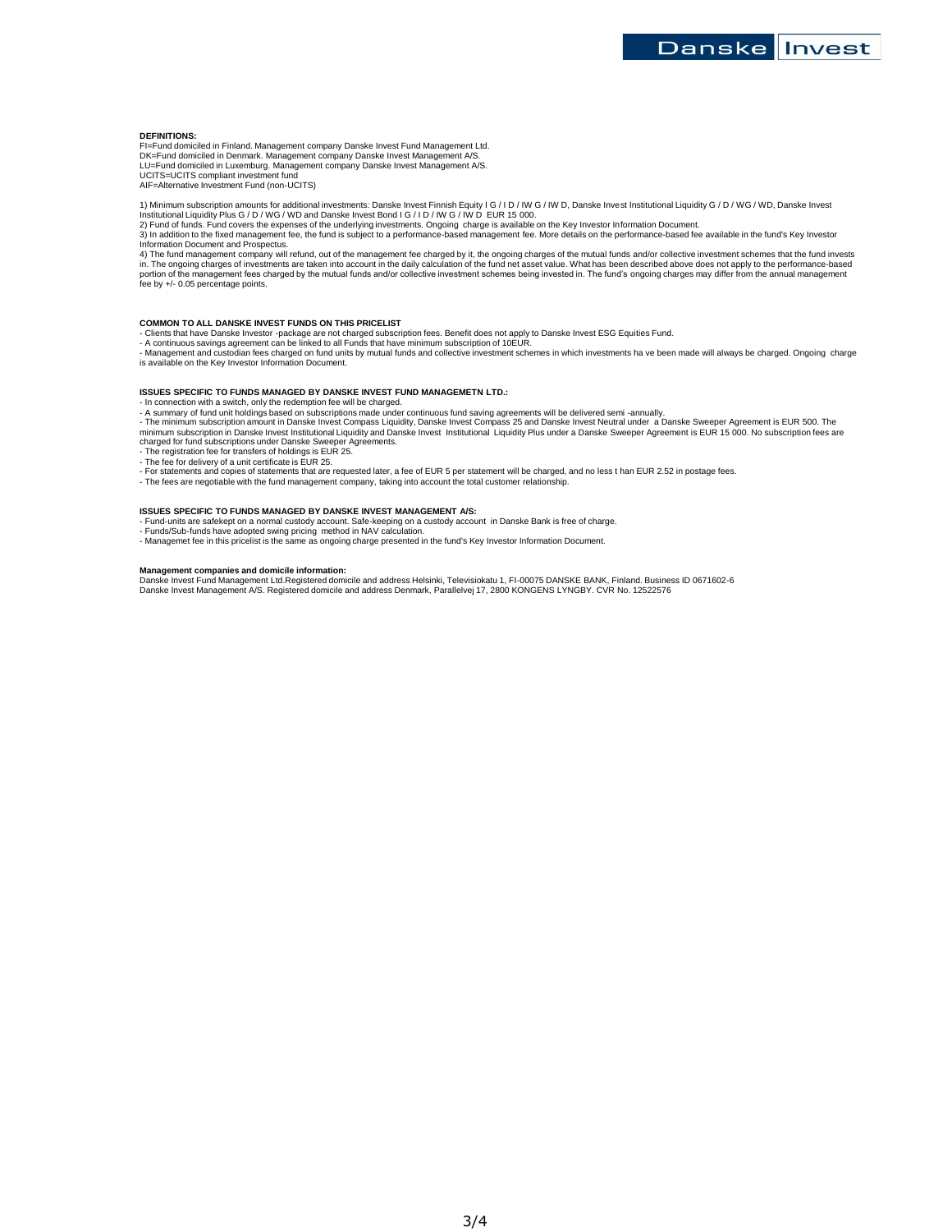### **DEFINITIONS:**

FI=Fund domiciled in Finland. Management company Danske Invest Fund Management Ltd. DK=Fund domiciled in Denmark. Management company Danske Invest Management A/S. LU=Fund domiciled in Luxemburg. Management company Danske Invest Management A/S. UCITS=UCITS compliant investment fund

AIF=Alternative Investment Fund (non-UCITS)

1) Minimum subscription amounts for additional investments: Danske Invest Finnish Equity I G / I D / IW G / IW D, Danske Invest Institutional Liquidity G / D / WG / WD, Danske Invest<br>Institutional Liquidity Plus G / D / WG

2) Fund of funds. Fund covers the expenses of the underlying investments. Ongoing charge is available on the Key Investor Information Document.<br>3) In addition to the fixed management fee, the fund is subject to a performan Information Document and Prospectus.

4) The fund management company will refund, out of the management fee charged by it, the ongoing charges of the mutual funds and/or collective investment schemes that the fund invests<br>in. The ongoing charges of investments portion of the management fees charged by the mutual funds and/or collective investment schemes being invested in. The fund's ongoing charges may differ from the annual management<br>fee by +/- 0.05 percentage points.

#### **COMMON TO ALL DANSKE INVEST FUNDS ON THIS PRICELIST**

- Clients that have Danske Investor -package are not charged subscription fees. Benefit does not apply to Danske Invest ESG Equities Fund.<br>- A continuous savings agreement can be linked to all Funds that was mad collective is available on the Key Investor Information Document.

## **ISSUES SPECIFIC TO FUNDS MANAGED BY DANSKE INVEST FUND MANAGEMETN LTD.:**

- In connection with a switch, only the redemption fee will be charged. - A summary of fund unit holdings based on subscriptions made under continuous fund saving agreements will be delivered semi -annually.

- The minimum subscription amount in Danske Invest Compass Liquidity, Danske Invest Compass 25 and Danske Invest Neutral under a Danske Sweeper Agreement is EUR 500. The<br>minimum subscription in Danske Invest Institutional

charged for fund subscriptions under Danske Sweeper Agreements. - The registration fee for transfers of holdings is EUR 25. - The fee for delivery of a unit certificate is EUR 25.

- 
- 

- For statements and copies of statements that are requested later, a fee of EUR 5 per statement will be charged, and no less t han EUR 2.52 in postage fees.<br>- The fees are negotiable with the fund management company, taki

## **ISSUES SPECIFIC TO FUNDS MANAGED BY DANSKE INVEST MANAGEMENT A/S:**

- Fund-units are safekept on a normal custody account. Safe-keeping on a custody account in Danske Bank is free of charge.<br>- Funds/Sub-funds have adopted swing pricing method in NAV calculation.<br>- Managemet fee in this p

**Management companies and domicile information:**<br>Danske Invest Fund Management Ltd.Registered domicile and address Helsinki, Televisiokatu 1, FI-00075 DANSKE BANK, Finland. Business ID 0671602-6 Danske Invest Management A/S. Registered domicile and address Denmark, Parallelvej 17, 2800 KONGENS LYNGBY. CVR No. 12522576